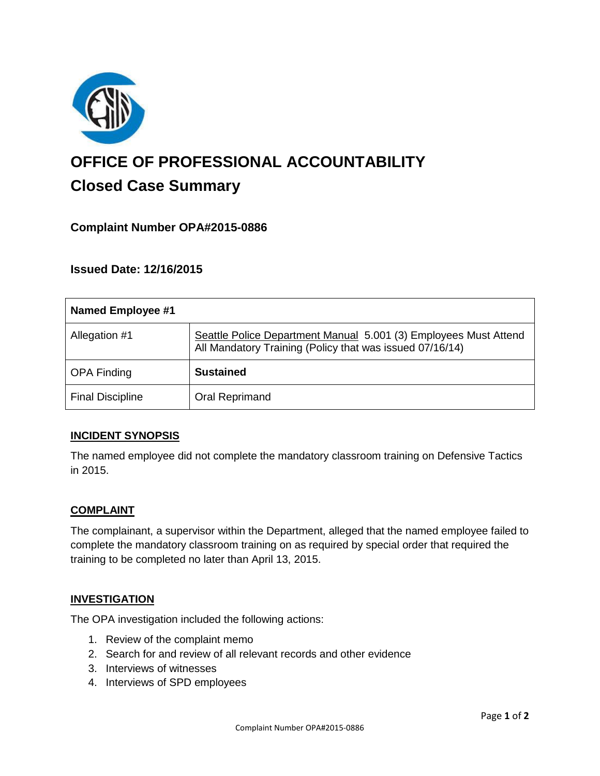

# **OFFICE OF PROFESSIONAL ACCOUNTABILITY Closed Case Summary**

# **Complaint Number OPA#2015-0886**

**Issued Date: 12/16/2015**

| Named Employee #1       |                                                                                                                              |
|-------------------------|------------------------------------------------------------------------------------------------------------------------------|
| Allegation #1           | Seattle Police Department Manual 5.001 (3) Employees Must Attend<br>All Mandatory Training (Policy that was issued 07/16/14) |
| <b>OPA Finding</b>      | <b>Sustained</b>                                                                                                             |
| <b>Final Discipline</b> | Oral Reprimand                                                                                                               |

## **INCIDENT SYNOPSIS**

The named employee did not complete the mandatory classroom training on Defensive Tactics in 2015.

## **COMPLAINT**

The complainant, a supervisor within the Department, alleged that the named employee failed to complete the mandatory classroom training on as required by special order that required the training to be completed no later than April 13, 2015.

#### **INVESTIGATION**

The OPA investigation included the following actions:

- 1. Review of the complaint memo
- 2. Search for and review of all relevant records and other evidence
- 3. Interviews of witnesses
- 4. Interviews of SPD employees